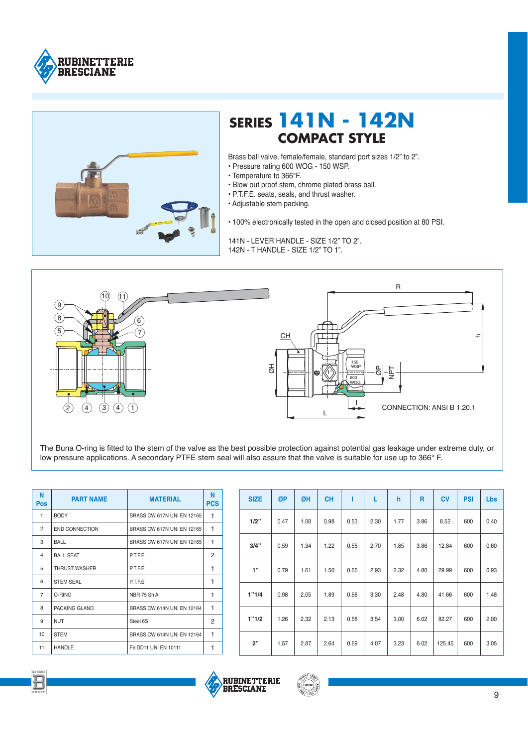



## **SERIES 141N - 142N COMPACT STYLE**

Brass ball valve, female/female, standard port sizes 1/2" to 2".

- Pressure rating 600 WOG 150 WSP.
- Temperature to 366°F.
- · Blow out proof stem, chrome plated brass ball.
- · P.T.F.E. seats, seals, and thrust washer.
- · Adjustable stem packing.

• 100% electronically tested in the open and closed position at 80 PSI.

141N - LEVER HANDLE - SIZE 1/2" TO 2". 142N - T HANDI F - SIZF 1/2" TO 1"



The Buna O-ring is fitted to the stem of the valve as the best possible protection against potential gas leakage under extreme duty, or low pressure applications. A secondary PTFE stem seal will also assure that the valve is suitable for use up to 366° F.

| N<br><b>Pos</b> | <b>PART NAME</b>      | <b>MATERIAL</b>            | N<br><b>PCS</b> |
|-----------------|-----------------------|----------------------------|-----------------|
| 1               | <b>BODY</b>           | BRASS CW 617N UNI EN 12165 | 1               |
| $\overline{2}$  | <b>END CONNECTION</b> | BRASS CW 617N UNI EN 12165 | 1               |
| 3               | <b>BALL</b>           | BRASS CW 617N UNI EN 12165 | 1               |
| 4               | <b>BALL SEAT</b>      | <b>P.T.F.E</b>             | 2               |
| 5               | <b>THRUST WASHER</b>  | PTFE                       | 1               |
| 6               | <b>STEM SEAL</b>      | P.T.F.E                    | 1               |
| $\overline{7}$  | O-RING                | <b>NBR 75 Sh A</b>         | 1               |
| 8               | PACKING GLAND         | BRASS CW 614N UNI EN 12164 | 1               |
| 9               | <b>NUT</b>            | Steel 6S                   | 2               |
| 10              | <b>STEM</b>           | BRASS CW 614N UNI EN 12164 | 1               |
| 11              | <b>HANDLE</b>         | Fe DD11 UNI EN 10111       | 1               |

| <b>SIZE</b> | ØP   | ØH   | <b>CH</b> |      | L    | h    | R    | <b>CV</b> | <b>PSI</b> | Lbs  |
|-------------|------|------|-----------|------|------|------|------|-----------|------------|------|
| 1/2"        | 0.47 | 1.08 | 0.98      | 0.53 | 2.30 | 1.77 | 3.86 | 8.52      | 600        | 0.40 |
| 3/4"        | 0.59 | 1.34 | 1.22      | 0.55 | 2.70 | 1.85 | 3.86 | 12.84     | 600        | 0.60 |
| 1"          | 0.79 | 1.61 | 1.50      | 0.66 | 2.93 | 2.32 | 4.80 | 29.99     | 600        | 0.93 |
| 1"1/4       | 0.98 | 2.05 | 1.89      | 0.68 | 3.30 | 2.48 | 4.80 | 41.66     | 600        | 1.48 |
| 1"1/2       | 1.26 | 2.32 | 2.13      | 0.68 | 3.54 | 3.00 | 6.02 | 82.27     | 600        | 2.00 |
| 2"          | 1.57 | 2.87 | 2.64      | 0.69 | 4.07 | 3.23 | 6.02 | 125.45    | 600        | 3.05 |